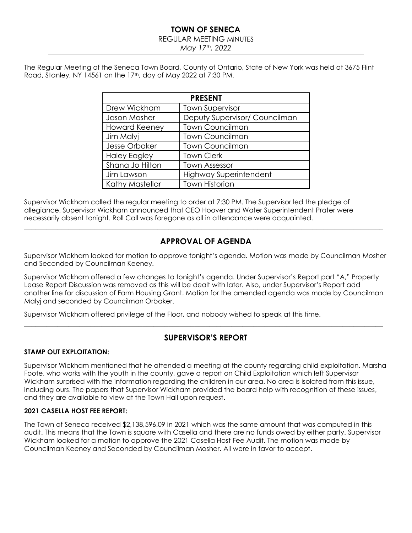# **TOWN OF SENECA**

#### REGULAR MEETING MINUTES

*May 17th, 2022*

The Regular Meeting of the Seneca Town Board, County of Ontario, State of New York was held at 3675 Flint Road, Stanley, NY 14561 on the 17th, day of May 2022 at 7:30 PM.

| <b>PRESENT</b>       |                               |  |  |  |  |  |
|----------------------|-------------------------------|--|--|--|--|--|
| Drew Wickham         | <b>Town Supervisor</b>        |  |  |  |  |  |
| Jason Mosher         | Deputy Supervisor/ Councilman |  |  |  |  |  |
| <b>Howard Keeney</b> | <b>Town Councilman</b>        |  |  |  |  |  |
| Jim Malyj            | <b>Town Councilman</b>        |  |  |  |  |  |
| Jesse Orbaker        | <b>Town Councilman</b>        |  |  |  |  |  |
| <b>Haley Eagley</b>  | <b>Town Clerk</b>             |  |  |  |  |  |
| Shana Jo Hilton      | <b>Town Assessor</b>          |  |  |  |  |  |
| Jim Lawson           | <b>Highway Superintendent</b> |  |  |  |  |  |
| Kathy Mastellar      | <b>Town Historian</b>         |  |  |  |  |  |

Supervisor Wickham called the regular meeting to order at 7:30 PM. The Supervisor led the pledge of allegiance. Supervisor Wickham announced that CEO Hoover and Water Superintendent Prater were necessarily absent tonight. Roll Call was foregone as all in attendance were acquainted.

# **APPROVAL OF AGENDA**

 $\_$  , and the set of the set of the set of the set of the set of the set of the set of the set of the set of the set of the set of the set of the set of the set of the set of the set of the set of the set of the set of th

Supervisor Wickham looked for motion to approve tonight's agenda. Motion was made by Councilman Mosher and Seconded by Councilman Keeney.

Supervisor Wickham offered a few changes to tonight's agenda. Under Supervisor's Report part "A," Property Lease Report Discussion was removed as this will be dealt with later. Also, under Supervisor's Report add another line for discussion of Farm Housing Grant. Motion for the amended agenda was made by Councilman Malyj and seconded by Councilman Orbaker.

Supervisor Wickham offered privilege of the Floor, and nobody wished to speak at this time.

# **SUPERVISOR'S REPORT**

\_\_\_\_\_\_\_\_\_\_\_\_\_\_\_\_\_\_\_\_\_\_\_\_\_\_\_\_\_\_\_\_\_\_\_\_\_\_\_\_\_\_\_\_\_\_\_\_\_\_\_\_\_\_\_\_\_\_\_\_\_\_\_\_\_\_\_\_\_\_\_\_\_\_\_\_\_\_\_\_\_\_\_\_\_\_\_\_\_\_\_\_\_\_\_\_\_

## **STAMP OUT EXPLOITATION:**

Supervisor Wickham mentioned that he attended a meeting at the county regarding child exploitation. Marsha Foote, who works with the youth in the county, gave a report on Child Exploitation which left Supervisor Wickham surprised with the information regarding the children in our area. No area is isolated from this issue, including ours. The papers that Supervisor Wickham provided the board help with recognition of these issues, and they are available to view at the Town Hall upon request.

## **2021 CASELLA HOST FEE REPORT:**

The Town of Seneca received \$2,138,596.09 in 2021 which was the same amount that was computed in this audit. This means that the Town is square with Casella and there are no funds owed by either party. Supervisor Wickham looked for a motion to approve the 2021 Casella Host Fee Audit. The motion was made by Councilman Keeney and Seconded by Councilman Mosher. All were in favor to accept.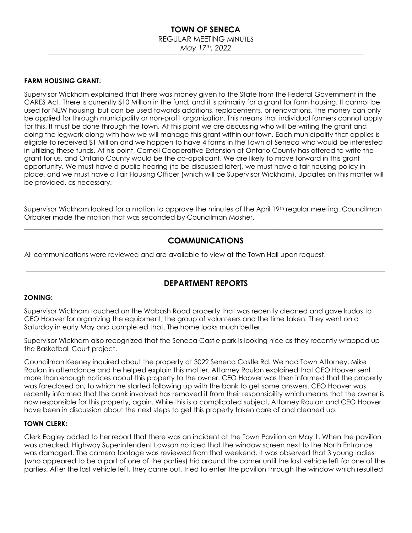## **TOWN OF SENECA** REGULAR MEETING MINUTES *May 17th, 2022*

#### **FARM HOUSING GRANT:**

Supervisor Wickham explained that there was money given to the State from the Federal Government in the CARES Act. There is currently \$10 Million in the fund, and it is primarily for a grant for farm housing. It cannot be used for NEW housing, but can be used towards additions, replacements, or renovations. The money can only be applied for through municipality or non-profit organization. This means that individual farmers cannot apply for this. It must be done through the town. At this point we are discussing who will be writing the grant and doing the legwork along with how we will manage this grant within our town. Each municipality that applies is eligible to received \$1 Million and we happen to have 4 farms in the Town of Seneca who would be interested in utilizing these funds. At his point, Cornell Cooperative Extension of Ontario County has offered to write the grant for us, and Ontario County would be the co-applicant. We are likely to move forward in this grant opportunity. We must have a public hearing (to be discussed later), we must have a fair housing policy in place, and we must have a Fair Housing Officer (which will be Supervisor Wickham). Updates on this matter will be provided, as necessary.

Supervisor Wickham looked for a motion to approve the minutes of the April 19<sup>th</sup> regular meeting. Councilman Orbaker made the motion that was seconded by Councilman Mosher. \_\_\_\_\_\_\_\_\_\_\_\_\_\_\_\_\_\_\_\_\_\_\_\_\_\_\_\_\_\_\_\_\_\_\_\_\_\_\_\_\_\_\_\_\_\_\_\_\_\_\_\_\_\_\_\_\_\_\_\_\_\_\_\_\_\_\_\_\_\_\_\_\_\_\_\_\_\_\_\_\_\_\_\_\_\_\_\_\_\_\_\_\_\_\_\_\_

## **COMMUNICATIONS**

All communications were reviewed and are available to view at the Town Hall upon request.

## **DEPARTMENT REPORTS**

\_\_\_\_\_\_\_\_\_\_\_\_\_\_\_\_\_\_\_\_\_\_\_\_\_\_\_\_\_\_\_\_\_\_\_\_\_\_\_\_\_\_\_\_\_\_\_\_\_\_\_\_\_\_\_\_\_\_\_\_\_\_\_\_\_\_\_\_\_\_\_\_\_\_\_\_\_\_\_\_\_\_\_\_\_\_\_\_\_\_\_\_\_\_\_\_\_

#### **ZONING:**

Supervisor Wickham touched on the Wabash Road property that was recently cleaned and gave kudos to CEO Hoover for organizing the equipment, the group of volunteers and the time taken. They went on a Saturday in early May and completed that. The home looks much better.

Supervisor Wickham also recognized that the Seneca Castle park is looking nice as they recently wrapped up the Basketball Court project.

Councilman Keeney inquired about the property at 3022 Seneca Castle Rd. We had Town Attorney, Mike Roulan in attendance and he helped explain this matter. Attorney Roulan explained that CEO Hoover sent more than enough notices about this property to the owner. CEO Hoover was then informed that the property was foreclosed on, to which he started following up with the bank to get some answers. CEO Hoover was recently informed that the bank involved has removed it from their responsibility which means that the owner is now responsible for this property, again. While this is a complicated subject, Attorney Roulan and CEO Hoover have been in discussion about the next steps to get this property taken care of and cleaned up.

#### **TOWN CLERK:**

Clerk Eagley added to her report that there was an incident at the Town Pavilion on May 1. When the pavilion was checked, Highway Superintendent Lawson noticed that the window screen next to the North Entrance was damaged. The camera footage was reviewed from that weekend. It was observed that 3 young ladies (who appeared to be a part of one of the parties) hid around the corner until the last vehicle left for one of the parties. After the last vehicle left, they came out, tried to enter the pavilion through the window which resulted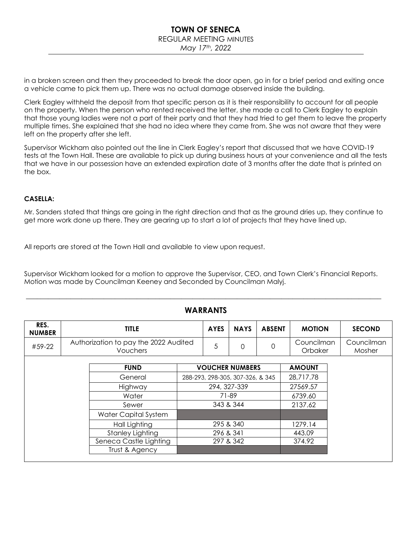### **TOWN OF SENECA** REGULAR MEETING MINUTES *May 17th, 2022*

in a broken screen and then they proceeded to break the door open, go in for a brief period and exiting once a vehicle came to pick them up. There was no actual damage observed inside the building.

Clerk Eagley withheld the deposit from that specific person as it is their responsibility to account for all people on the property. When the person who rented received the letter, she made a call to Clerk Eagley to explain that those young ladies were not a part of their party and that they had tried to get them to leave the property multiple times. She explained that she had no idea where they came from. She was not aware that they were left on the property after she left.

Supervisor Wickham also pointed out the line in Clerk Eagley's report that discussed that we have COVID-19 tests at the Town Hall. These are available to pick up during business hours at your convenience and all the tests that we have in our possession have an extended expiration date of 3 months after the date that is printed on the box.

#### **CASELLA:**

Mr. Sanders stated that things are going in the right direction and that as the ground dries up, they continue to get more work done up there. They are gearing up to start a lot of projects that they have lined up.

All reports are stored at the Town Hall and available to view upon request.

Supervisor Wickham looked for a motion to approve the Supervisor, CEO, and Town Clerk's Financial Reports. Motion was made by Councilman Keeney and Seconded by Councilman Malyj.

| RES.<br><b>NUMBER</b> | <b>TITLE</b>                                             |                         |              | <b>AYES</b>                      | <b>NAYS</b>            | <b>ABSENT</b> | <b>MOTION</b>         | <b>SECOND</b>        |
|-----------------------|----------------------------------------------------------|-------------------------|--------------|----------------------------------|------------------------|---------------|-----------------------|----------------------|
| #59-22                | Authorization to pay the 2022 Audited<br><b>Vouchers</b> |                         |              | 5                                | $\Omega$               | 0             | Councilman<br>Orbaker | Councilman<br>Mosher |
|                       |                                                          | <b>FUND</b>             |              |                                  | <b>VOUCHER NUMBERS</b> |               | <b>AMOUNT</b>         |                      |
|                       | General                                                  |                         |              | 288-293, 298-305, 307-326, & 345 |                        | 28,717.78     |                       |                      |
|                       | Highway                                                  |                         | 294, 327-339 |                                  |                        |               | 27569.57              |                      |
|                       |                                                          | Water                   |              | 71-89                            |                        |               | 6739.60               |                      |
|                       |                                                          | Sewer                   |              | 343 & 344                        |                        |               | 2137.62               |                      |
|                       |                                                          | Water Capital System    |              |                                  |                        |               |                       |                      |
|                       | Hall Lighting                                            |                         |              | 295 & 340                        |                        |               | 1279.14               |                      |
|                       |                                                          | <b>Stanley Lighting</b> |              | 296 & 341                        |                        |               | 443.09                |                      |
|                       |                                                          | Seneca Castle Lighting  |              |                                  | 297 & 342              |               | 374.92                |                      |
|                       |                                                          | Trust & Agency          |              |                                  |                        |               |                       |                      |

## **WARRANTS**

\_\_\_\_\_\_\_\_\_\_\_\_\_\_\_\_\_\_\_\_\_\_\_\_\_\_\_\_\_\_\_\_\_\_\_\_\_\_\_\_\_\_\_\_\_\_\_\_\_\_\_\_\_\_\_\_\_\_\_\_\_\_\_\_\_\_\_\_\_\_\_\_\_\_\_\_\_\_\_\_\_\_\_\_\_\_\_\_\_\_\_\_\_\_\_\_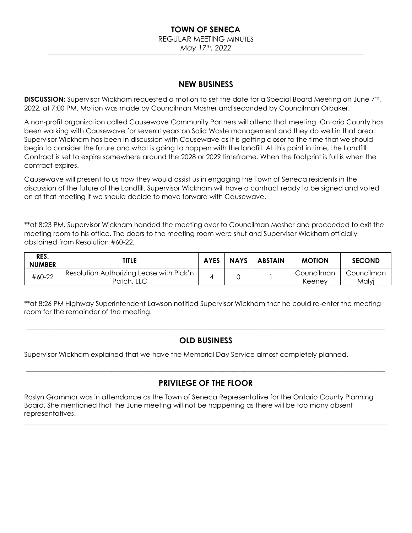# **TOWN OF SENECA**

REGULAR MEETING MINUTES

*May 17th, 2022*

## **NEW BUSINESS**

**DISCUSSION:** Supervisor Wickham requested a motion to set the date for a Special Board Meeting on June 7th, 2022, at 7:00 PM. Motion was made by Councilman Mosher and seconded by Councilman Orbaker.

A non-profit organization called Causewave Community Partners will attend that meeting. Ontario County has been working with Causewave for several years on Solid Waste management and they do well in that area. Supervisor Wickham has been in discussion with Causewave as it is getting closer to the time that we should begin to consider the future and what is going to happen with the landfill. At this point in time, the Landfill Contract is set to expire somewhere around the 2028 or 2029 timeframe. When the footprint is full is when the contract expires.

Causewave will present to us how they would assist us in engaging the Town of Seneca residents in the discussion of the future of the Landfill. Supervisor Wickham will have a contract ready to be signed and voted on at that meeting if we should decide to move forward with Causewave.

\*\*at 8:23 PM, Supervisor Wickham handed the meeting over to Councilman Mosher and proceeded to exit the meeting room to his office. The doors to the meeting room were shut and Supervisor Wickham officially abstained from Resolution #60-22.

| RES.<br><b>NUMBER</b> | <b>TITLE</b>                                           | <b>AYES</b> | <b>NAYS</b> | <b>ABSTAIN</b> | <b>MOTION</b>        | <b>SECOND</b>       |
|-----------------------|--------------------------------------------------------|-------------|-------------|----------------|----------------------|---------------------|
| #60-22                | Resolution Authorizing Lease with Pick'n<br>Patch, LLC |             |             |                | Councilman<br>Keenev | Councilman<br>Malyj |

\*\*at 8:26 PM Highway Superintendent Lawson notified Supervisor Wickham that he could re-enter the meeting room for the remainder of the meeting.

## **OLD BUSINESS**

\_\_\_\_\_\_\_\_\_\_\_\_\_\_\_\_\_\_\_\_\_\_\_\_\_\_\_\_\_\_\_\_\_\_\_\_\_\_\_\_\_\_\_\_\_\_\_\_\_\_\_\_\_\_\_\_\_\_\_\_\_\_\_\_\_\_\_\_\_\_\_\_\_\_\_\_\_\_\_\_\_\_\_\_\_\_\_\_\_\_\_\_\_\_\_\_\_

Supervisor Wickham explained that we have the Memorial Day Service almost completely planned.

# **PRIVILEGE OF THE FLOOR**

 $\_$  , and the set of the set of the set of the set of the set of the set of the set of the set of the set of the set of the set of the set of the set of the set of the set of the set of the set of the set of the set of th

 $\_$  , and the set of the set of the set of the set of the set of the set of the set of the set of the set of the set of the set of the set of the set of the set of the set of the set of the set of the set of the set of th

Roslyn Grammar was in attendance as the Town of Seneca Representative for the Ontario County Planning Board. She mentioned that the June meeting will not be happening as there will be too many absent representatives.